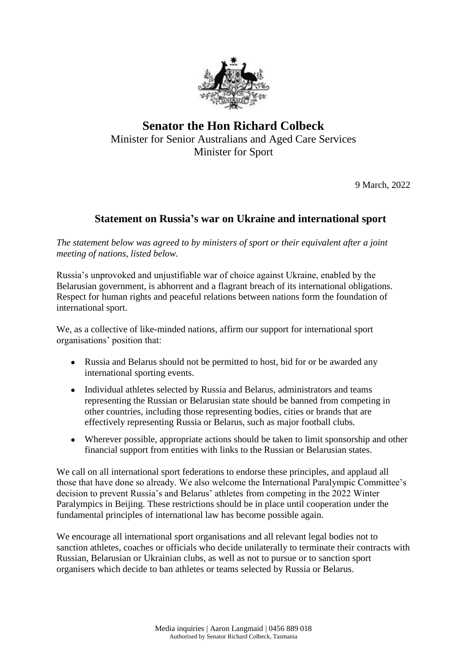

## **Senator the Hon Richard Colbeck** Minister for Senior Australians and Aged Care Services Minister for Sport

9 March, 2022

## **Statement on Russia's war on Ukraine and international sport**

*The statement below was agreed to by ministers of sport or their equivalent after a joint meeting of nations, listed below.*

Russia's unprovoked and unjustifiable war of choice against Ukraine, enabled by the Belarusian government, is abhorrent and a flagrant breach of its international obligations. Respect for human rights and peaceful relations between nations form the foundation of international sport.

We, as a collective of like-minded nations, affirm our support for international sport organisations' position that:

- Russia and Belarus should not be permitted to host, bid for or be awarded any international sporting events.
- Individual athletes selected by Russia and Belarus, administrators and teams representing the Russian or Belarusian state should be banned from competing in other countries, including those representing bodies, cities or brands that are effectively representing Russia or Belarus, such as major football clubs*.*
- Wherever possible, appropriate actions should be taken to limit sponsorship and other financial support from entities with links to the Russian or Belarusian states.

We call on all international sport federations to endorse these principles, and applaud all those that have done so already. We also welcome the International Paralympic Committee's decision to prevent Russia's and Belarus' athletes from competing in the 2022 Winter Paralympics in Beijing. These restrictions should be in place until cooperation under the fundamental principles of international law has become possible again.

We encourage all international sport organisations and all relevant legal bodies not to sanction athletes, coaches or officials who decide unilaterally to terminate their contracts with Russian, Belarusian or Ukrainian clubs, as well as not to pursue or to sanction sport organisers which decide to ban athletes or teams selected by Russia or Belarus.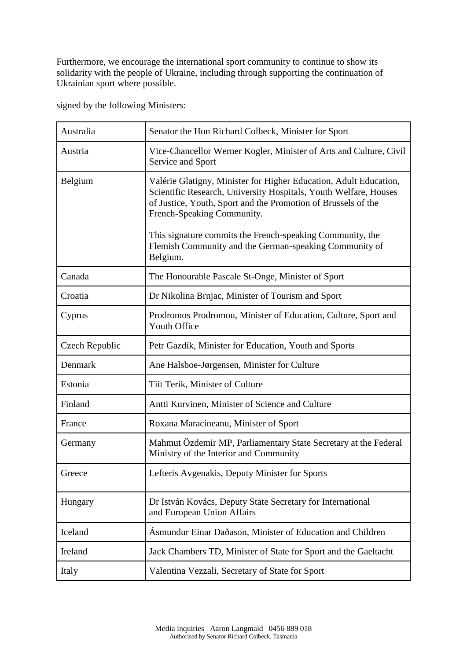Furthermore, we encourage the international sport community to continue to show its solidarity with the people of Ukraine, including through supporting the continuation of Ukrainian sport where possible.

signed by the following Ministers:

| Australia      | Senator the Hon Richard Colbeck, Minister for Sport                                                                                                                                                                                  |
|----------------|--------------------------------------------------------------------------------------------------------------------------------------------------------------------------------------------------------------------------------------|
| Austria        | Vice-Chancellor Werner Kogler, Minister of Arts and Culture, Civil<br>Service and Sport                                                                                                                                              |
| Belgium        | Valérie Glatigny, Minister for Higher Education, Adult Education,<br>Scientific Research, University Hospitals, Youth Welfare, Houses<br>of Justice, Youth, Sport and the Promotion of Brussels of the<br>French-Speaking Community. |
|                | This signature commits the French-speaking Community, the<br>Flemish Community and the German-speaking Community of<br>Belgium.                                                                                                      |
| Canada         | The Honourable Pascale St-Onge, Minister of Sport                                                                                                                                                                                    |
| Croatia        | Dr Nikolina Brnjac, Minister of Tourism and Sport                                                                                                                                                                                    |
| Cyprus         | Prodromos Prodromou, Minister of Education, Culture, Sport and<br><b>Youth Office</b>                                                                                                                                                |
| Czech Republic | Petr Gazdík, Minister for Education, Youth and Sports                                                                                                                                                                                |
| Denmark        | Ane Halsboe-Jørgensen, Minister for Culture                                                                                                                                                                                          |
| Estonia        | Tiit Terik, Minister of Culture                                                                                                                                                                                                      |
| Finland        | Antti Kurvinen, Minister of Science and Culture                                                                                                                                                                                      |
| France         | Roxana Maracineanu, Minister of Sport                                                                                                                                                                                                |
| Germany        | Mahmut Özdemir MP, Parliamentary State Secretary at the Federal<br>Ministry of the Interior and Community                                                                                                                            |
| Greece         | Lefteris Avgenakis, Deputy Minister for Sports                                                                                                                                                                                       |
| Hungary        | Dr István Kovács, Deputy State Secretary for International<br>and European Union Affairs                                                                                                                                             |
| Iceland        | Ásmundur Einar Daðason, Minister of Education and Children                                                                                                                                                                           |
| Ireland        | Jack Chambers TD, Minister of State for Sport and the Gaeltacht                                                                                                                                                                      |
| Italy          | Valentina Vezzali, Secretary of State for Sport                                                                                                                                                                                      |